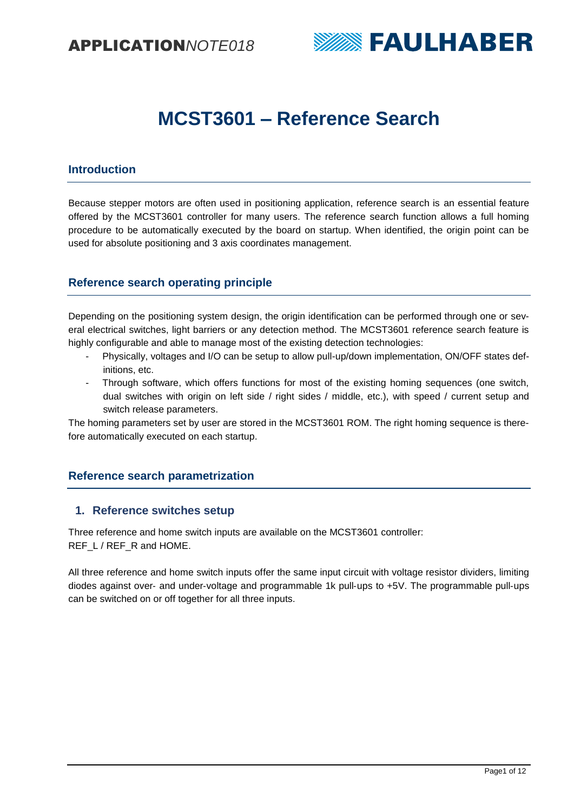

# **MCST3601 – Reference Search**

# **Introduction**

Because stepper motors are often used in positioning application, reference search is an essential feature offered by the MCST3601 controller for many users. The reference search function allows a full homing procedure to be automatically executed by the board on startup. When identified, the origin point can be used for absolute positioning and 3 axis coordinates management.

# **Reference search operating principle**

Depending on the positioning system design, the origin identification can be performed through one or several electrical switches, light barriers or any detection method. The MCST3601 reference search feature is highly configurable and able to manage most of the existing detection technologies:

- Physically, voltages and I/O can be setup to allow pull-up/down implementation, ON/OFF states definitions, etc.
- Through software, which offers functions for most of the existing homing sequences (one switch, dual switches with origin on left side / right sides / middle, etc.), with speed / current setup and switch release parameters.

The homing parameters set by user are stored in the MCST3601 ROM. The right homing sequence is therefore automatically executed on each startup.

# **Reference search parametrization**

## **1. Reference switches setup**

Three reference and home switch inputs are available on the MCST3601 controller: REF\_L / REF\_R and HOME.

All three reference and home switch inputs offer the same input circuit with voltage resistor dividers, limiting diodes against over‐ and under‐voltage and programmable 1k pull‐ups to +5V. The programmable pull‐ups can be switched on or off together for all three inputs.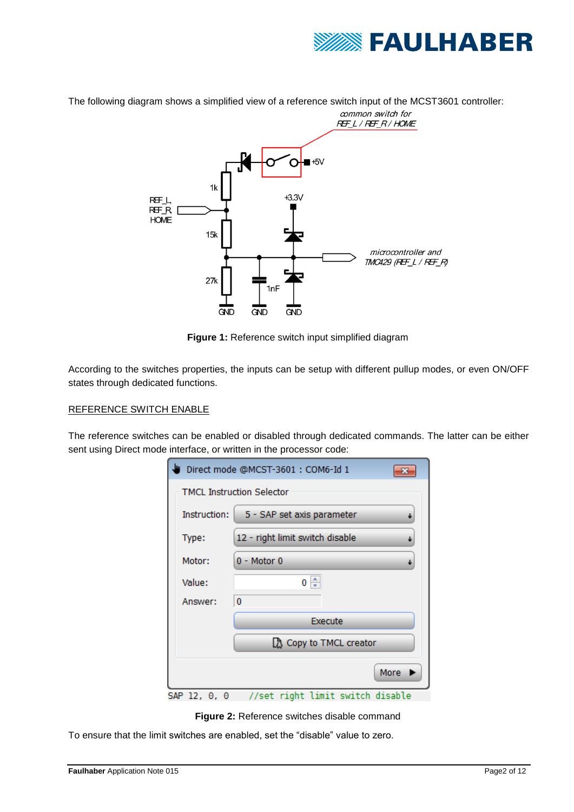

The following diagram shows a simplified view of a reference switch input of the MCST3601 controller:



**Figure 1:** Reference switch input simplified diagram

According to the switches properties, the inputs can be setup with different pullup modes, or even ON/OFF states through dedicated functions.

#### REFERENCE SWITCH ENABLE

The reference switches can be enabled or disabled through dedicated commands. The latter can be either sent using Direct mode interface, or written in the processor code:

| Direct mode @MCST-3601: COM6-Id 1 |                                                 |  |  |
|-----------------------------------|-------------------------------------------------|--|--|
| <b>TMCL Instruction Selector</b>  |                                                 |  |  |
| Instruction:                      | 5 - SAP set axis parameter                      |  |  |
| Type:                             | 12 - right limit switch disable                 |  |  |
| Motor:                            | $0 - Motor 0$                                   |  |  |
| Value:                            | $0 \Leftrightarrow$                             |  |  |
| Answer:                           | 0                                               |  |  |
|                                   | Execute                                         |  |  |
|                                   | <b>B</b> Copy to TMCL creator                   |  |  |
|                                   | More                                            |  |  |
|                                   | SAP 12, 0, 0   //set right limit switch disable |  |  |

**Figure 2:** Reference switches disable command

To ensure that the limit switches are enabled, set the "disable" value to zero.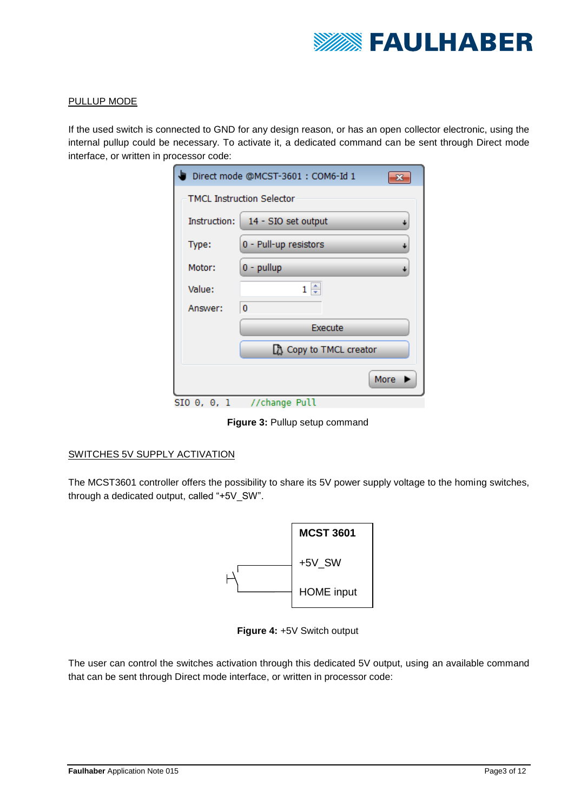

#### PULLUP MODE

If the used switch is connected to GND for any design reason, or has an open collector electronic, using the internal pullup could be necessary. To activate it, a dedicated command can be sent through Direct mode interface, or written in processor code:

| Direct mode @MCST-3601: COM6-Id 1 |                               |  |
|-----------------------------------|-------------------------------|--|
| <b>TMCL Instruction Selector</b>  |                               |  |
| Instruction:                      | 14 - SIO set output<br>↓      |  |
| Type:                             | 0 - Pull-up resistors<br>J    |  |
| Motor:                            | $0 - pullup$<br>↓             |  |
| Value:                            | $1 \oplus$                    |  |
| Answer:                           | 0                             |  |
|                                   | Execute                       |  |
|                                   | <b>A</b> Copy to TMCL creator |  |
|                                   | More                          |  |
| $SIO 0, 0, 1$ //change Pull       |                               |  |

**Figure 3:** Pullup setup command

#### SWITCHES 5V SUPPLY ACTIVATION

The MCST3601 controller offers the possibility to share its 5V power supply voltage to the homing switches, through a dedicated output, called "+5V\_SW".



**Figure 4:** +5V Switch output

The user can control the switches activation through this dedicated 5V output, using an available command that can be sent through Direct mode interface, or written in processor code: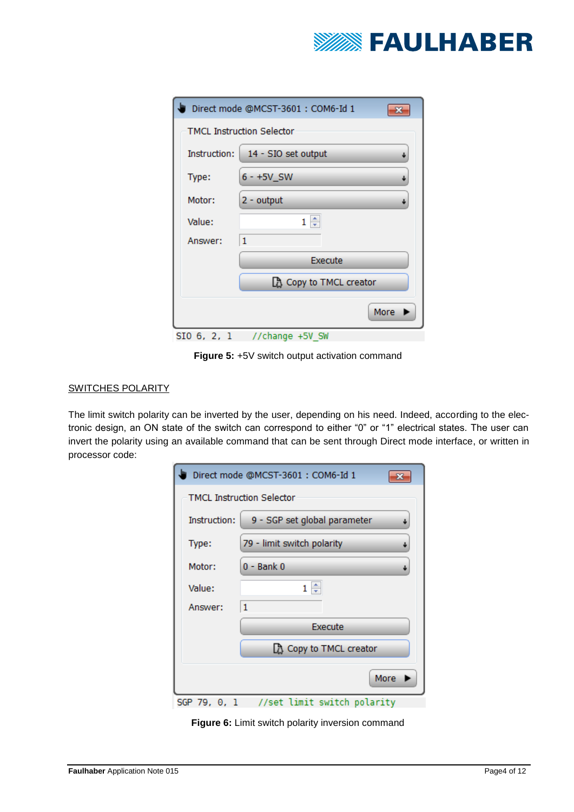

| Direct mode @MCST-3601: COM6-Id 1 |                                    |  |  |
|-----------------------------------|------------------------------------|--|--|
|                                   | <b>TMCL Instruction Selector</b>   |  |  |
|                                   | Instruction:   14 - SIO set output |  |  |
| Type:                             | $6 - +5V$ SW                       |  |  |
| Motor:                            | $2 -$ output                       |  |  |
| Value:                            | $1 \triangleq$                     |  |  |
| Answer:                           | 1                                  |  |  |
|                                   | Execute                            |  |  |
|                                   | <b>A</b> Copy to TMCL creator      |  |  |
|                                   | More                               |  |  |
|                                   | SIO 6, 2, 1 //change +5V SW        |  |  |

**Figure 5: +5V switch output activation command** 

## SWITCHES POLARITY

The limit switch polarity can be inverted by the user, depending on his need. Indeed, according to the electronic design, an ON state of the switch can correspond to either "0" or "1" electrical states. The user can invert the polarity using an available command that can be sent through Direct mode interface, or written in processor code:

|                                             | Direct mode @MCST-3601 : COM6-Id 1 |                               |  |  |
|---------------------------------------------|------------------------------------|-------------------------------|--|--|
|                                             | <b>TMCL Instruction Selector</b>   |                               |  |  |
|                                             | Instruction:                       | 9 - SGP set global parameter  |  |  |
|                                             | Type:                              | 79 - limit switch polarity    |  |  |
|                                             | Motor:                             | $0 -$ Bank $0$                |  |  |
|                                             | Value:                             | ÷<br>1.                       |  |  |
|                                             | Answer:                            | 1                             |  |  |
|                                             |                                    | Execute                       |  |  |
|                                             |                                    | <b>B</b> Copy to TMCL creator |  |  |
|                                             | More                               |                               |  |  |
| //set limit switch polarity<br>SGP 79, 0, 1 |                                    |                               |  |  |

**Figure 6:** Limit switch polarity inversion command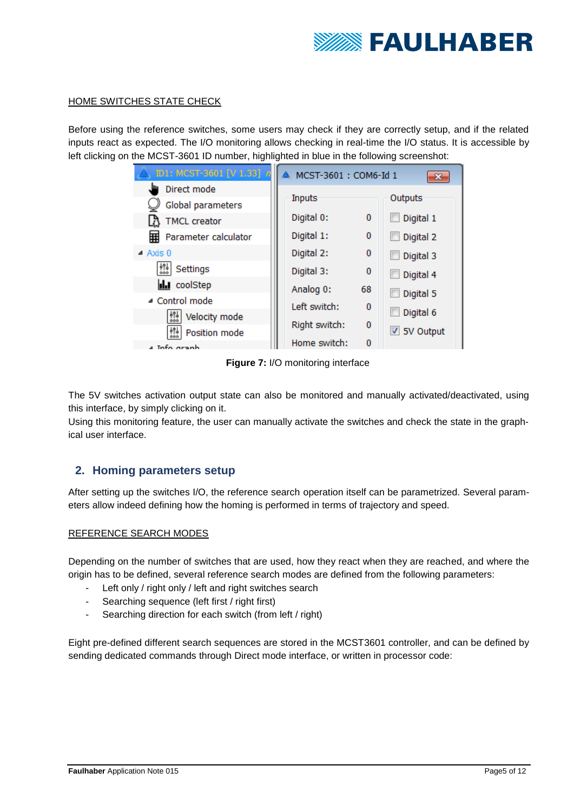

#### HOME SWITCHES STATE CHECK

Before using the reference switches, some users may check if they are correctly setup, and if the related inputs react as expected. The I/O monitoring allows checking in real-time the I/O status. It is accessible by left clicking on the MCST-3601 ID number, highlighted in blue in the following screenshot:

| ID1: MCST-3601 [V 1.33] n | MCST-3601: COM6-Id 1 |          |                    |
|---------------------------|----------------------|----------|--------------------|
| Direct mode               |                      |          |                    |
| Global parameters         | Inputs               |          | Outputs            |
| <b>TMCL</b> creator       | Digital 0:           | 0        | Digital 1          |
| Parameter calculator<br>囲 | Digital 1:           | $\Omega$ | Digital 2          |
| $\triangle$ Axis 0        | Digital 2:           | $\Omega$ | Digital 3          |
| Settings                  | Digital 3:           | $\Omega$ | Digital 4          |
| <b>III</b> coolStep       | Analog 0:            | 68       | Digital 5          |
| ▲ Control mode            | Left switch:         | o        |                    |
| 쏋<br>Velocity mode        |                      |          | Digital 6          |
| Position mode             | Right switch:        | 0        | <b>√</b> 5V Output |
| 4 Info aranh              | Home switch:         | 0        |                    |

**Figure 7:** I/O monitoring interface

The 5V switches activation output state can also be monitored and manually activated/deactivated, using this interface, by simply clicking on it.

Using this monitoring feature, the user can manually activate the switches and check the state in the graphical user interface.

## **2. Homing parameters setup**

After setting up the switches I/O, the reference search operation itself can be parametrized. Several parameters allow indeed defining how the homing is performed in terms of trajectory and speed.

#### REFERENCE SEARCH MODES

Depending on the number of switches that are used, how they react when they are reached, and where the origin has to be defined, several reference search modes are defined from the following parameters:

- Left only / right only / left and right switches search
- Searching sequence (left first / right first)
- Searching direction for each switch (from left / right)

Eight pre-defined different search sequences are stored in the MCST3601 controller, and can be defined by sending dedicated commands through Direct mode interface, or written in processor code: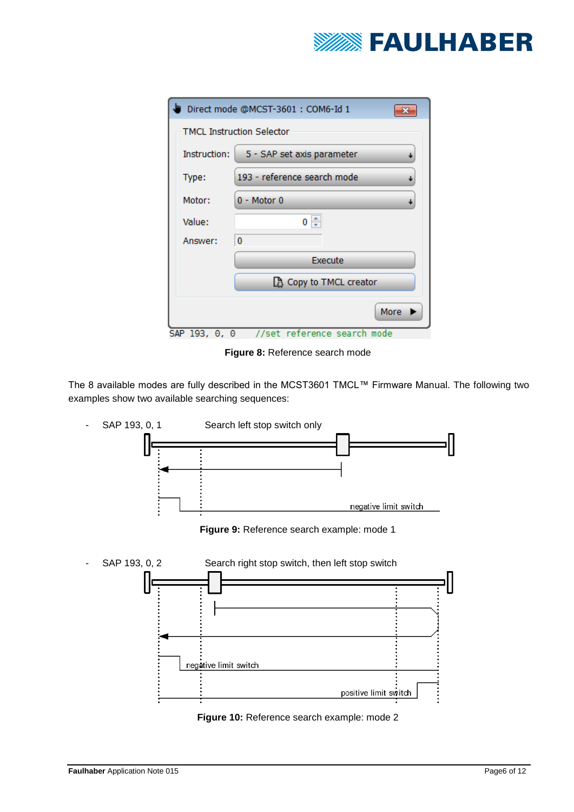

| Direct mode @MCST-3601: COM6-Id 1            |                                  |  |  |
|----------------------------------------------|----------------------------------|--|--|
|                                              | <b>TMCL Instruction Selector</b> |  |  |
| Instruction:                                 | 5 - SAP set axis parameter       |  |  |
| Type:                                        | 193 - reference search mode      |  |  |
| Motor:                                       | $0 - Motor 0$                    |  |  |
| Value:                                       | $0 \Leftrightarrow$              |  |  |
| Answer:                                      | 0                                |  |  |
|                                              | Execute                          |  |  |
|                                              | <b>B</b> Copy to TMCL creator    |  |  |
|                                              | More                             |  |  |
| //set reference search mode<br>SAP 193, 0, 0 |                                  |  |  |

**Figure 8:** Reference search mode

The 8 available modes are fully described in the MCST3601 TMCL™ Firmware Manual. The following two examples show two available searching sequences:



**Figure 10:** Reference search example: mode 2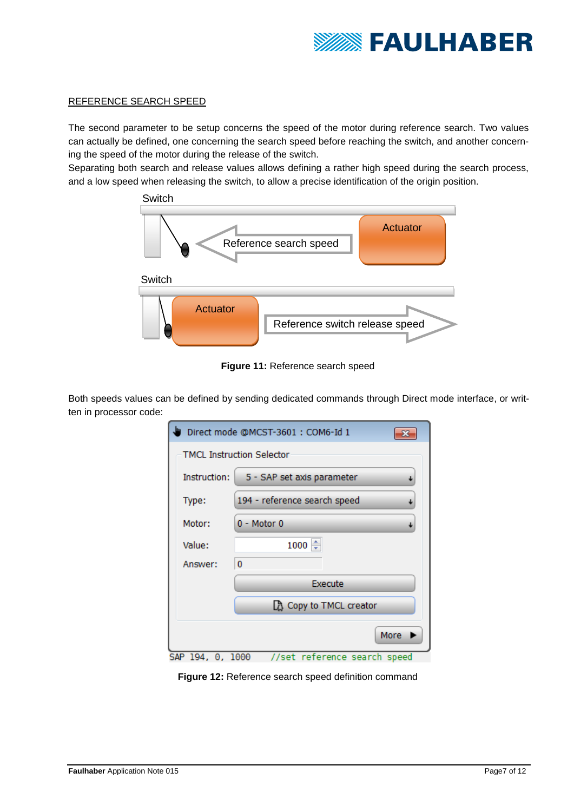

## REFERENCE SEARCH SPEED

The second parameter to be setup concerns the speed of the motor during reference search. Two values can actually be defined, one concerning the search speed before reaching the switch, and another concerning the speed of the motor during the release of the switch.

Separating both search and release values allows defining a rather high speed during the search process, and a low speed when releasing the switch, to allow a precise identification of the origin position.



**Figure 11:** Reference search speed

Both speeds values can be defined by sending dedicated commands through Direct mode interface, or written in processor code:

| Direct mode @MCST-3601: COM6-Id 1 |                               |  |  |
|-----------------------------------|-------------------------------|--|--|
| <b>TMCL Instruction Selector</b>  |                               |  |  |
| Instruction:                      | 5 - SAP set axis parameter    |  |  |
| Type:                             | 194 - reference search speed  |  |  |
| Motor:                            | 0 - Motor 0                   |  |  |
| Value:                            | $1000 \div$                   |  |  |
| Answer:                           | 0                             |  |  |
|                                   | Execute                       |  |  |
|                                   | <b>B</b> Copy to TMCL creator |  |  |
|                                   | More                          |  |  |
| SAP 194, 0, 1000                  | //set reference search speed  |  |  |

**Figure 12:** Reference search speed definition command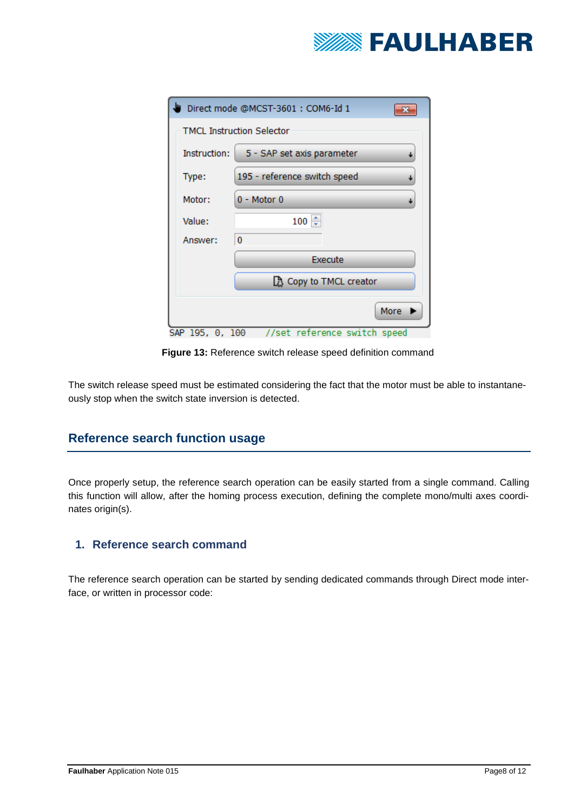

| Direct mode @MCST-3601: COM6-Id 1 |                                      |  |  |
|-----------------------------------|--------------------------------------|--|--|
|                                   | <b>TMCL Instruction Selector</b>     |  |  |
| <b>Instruction:</b>               | 5 - SAP set axis parameter           |  |  |
| Type:                             | 195 - reference switch speed         |  |  |
| Motor:                            | $0 - Motor 0$                        |  |  |
| Value:                            | ŧ<br>100                             |  |  |
| Answer:                           | 0                                    |  |  |
|                                   | Execute                              |  |  |
|                                   | <b>B</b> Copy to TMCL creator        |  |  |
| SAP 195, 0, 100                   | More<br>//set reference switch speed |  |  |

**Figure 13:** Reference switch release speed definition command

The switch release speed must be estimated considering the fact that the motor must be able to instantaneously stop when the switch state inversion is detected.

# **Reference search function usage**

Once properly setup, the reference search operation can be easily started from a single command. Calling this function will allow, after the homing process execution, defining the complete mono/multi axes coordinates origin(s).

## **1. Reference search command**

The reference search operation can be started by sending dedicated commands through Direct mode interface, or written in processor code: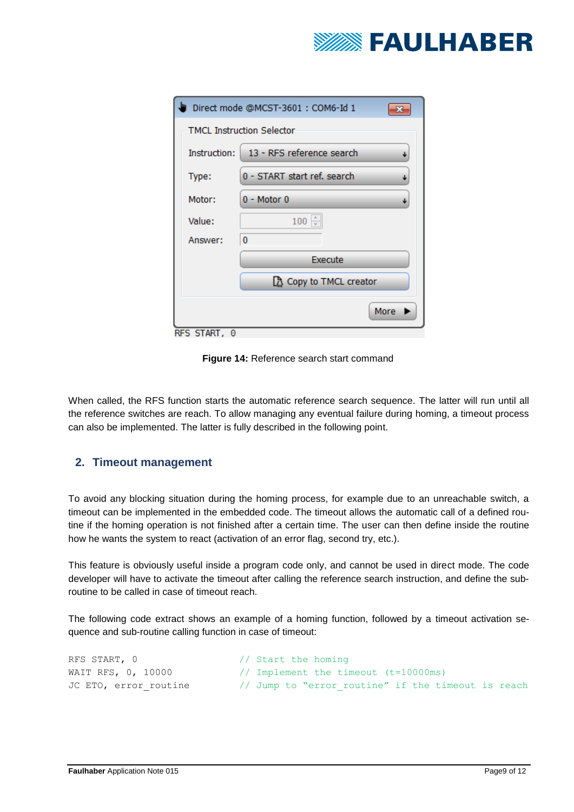

| Direct mode @MCST-3601 : COM6-Id 1        |  |  |
|-------------------------------------------|--|--|
| <b>TMCL Instruction Selector</b>          |  |  |
| 13 - RFS reference search<br>Instruction: |  |  |
| 0 - START start ref. search<br>Type:      |  |  |
| $0 - Motor 0$<br>Motor:                   |  |  |
| $100 \div$<br>Value:                      |  |  |
| 0<br>Answer:                              |  |  |
| Execute                                   |  |  |
| <b>B</b> Copy to TMCL creator             |  |  |
| More                                      |  |  |

**Figure 14:** Reference search start command

When called, the RFS function starts the automatic reference search sequence. The latter will run until all the reference switches are reach. To allow managing any eventual failure during homing, a timeout process can also be implemented. The latter is fully described in the following point.

# **2. Timeout management**

To avoid any blocking situation during the homing process, for example due to an unreachable switch, a timeout can be implemented in the embedded code. The timeout allows the automatic call of a defined routine if the homing operation is not finished after a certain time. The user can then define inside the routine how he wants the system to react (activation of an error flag, second try, etc.).

This feature is obviously useful inside a program code only, and cannot be used in direct mode. The code developer will have to activate the timeout after calling the reference search instruction, and define the subroutine to be called in case of timeout reach.

The following code extract shows an example of a homing function, followed by a timeout activation sequence and sub-routine calling function in case of timeout:

```
RFS START, 0 \frac{1}{10} Start the homing
WAIT RFS, 0, 10000 // Implement the timeout (t=10000ms)
JC ETO, error routine // Jump to "error routine" if the timeout is reach
```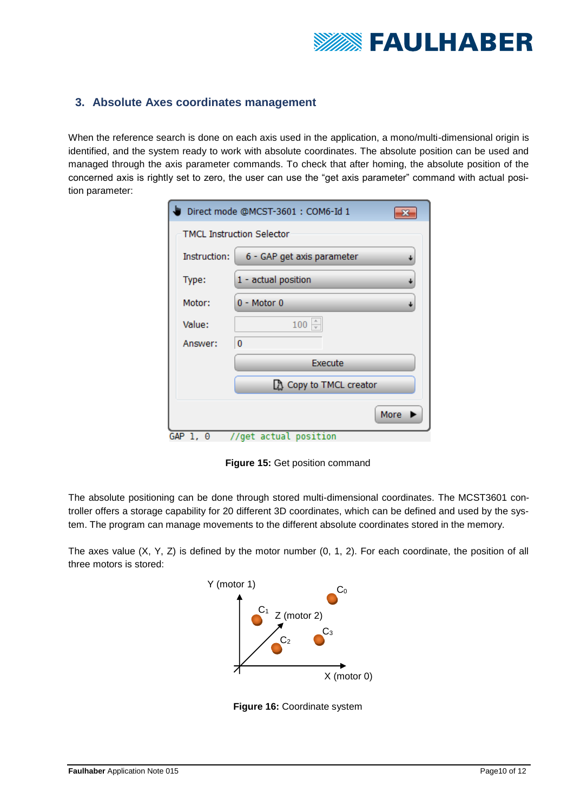

## **3. Absolute Axes coordinates management**

When the reference search is done on each axis used in the application, a mono/multi-dimensional origin is identified, and the system ready to work with absolute coordinates. The absolute position can be used and managed through the axis parameter commands. To check that after homing, the absolute position of the concerned axis is rightly set to zero, the user can use the "get axis parameter" command with actual position parameter:

| Direct mode @MCST-3601: COM6-Id 1 |                                 |  |  |
|-----------------------------------|---------------------------------|--|--|
| <b>TMCL Instruction Selector</b>  |                                 |  |  |
| <b>Instruction:</b>               | 6 - GAP get axis parameter<br>↓ |  |  |
| Type:                             | 1 - actual position             |  |  |
| Motor:                            | $0 - Motor 0$<br>↓              |  |  |
| Value:                            | $100 \div$                      |  |  |
| Answer:                           | 0                               |  |  |
|                                   | Execute                         |  |  |
|                                   | <b>B</b> Copy to TMCL creator   |  |  |
| More                              |                                 |  |  |

**Figure 15:** Get position command

The absolute positioning can be done through stored multi-dimensional coordinates. The MCST3601 controller offers a storage capability for 20 different 3D coordinates, which can be defined and used by the system. The program can manage movements to the different absolute coordinates stored in the memory.

The axes value  $(X, Y, Z)$  is defined by the motor number  $(0, 1, 2)$ . For each coordinate, the position of all three motors is stored:



**Figure 16:** Coordinate system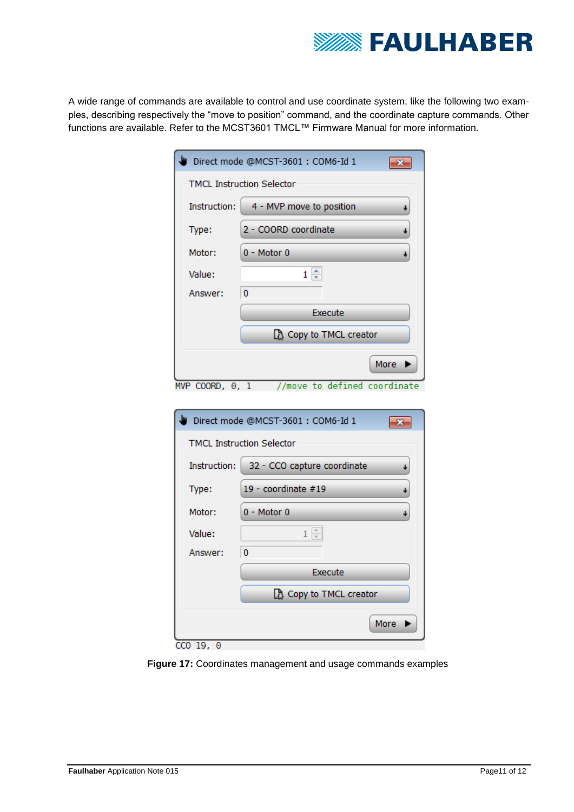

A wide range of commands are available to control and use coordinate system, like the following two examples, describing respectively the "move to position" command, and the coordinate capture commands. Other functions are available. Refer to the MCST3601 TMCL™ Firmware Manual for more information.

| Direct mode @MCST-3601 : COM6-Id 1                     |                                  |  |  |
|--------------------------------------------------------|----------------------------------|--|--|
|                                                        | <b>TMCL Instruction Selector</b> |  |  |
| Instruction:                                           | 4 - MVP move to position         |  |  |
| Type:                                                  | 2 - COORD coordinate             |  |  |
| Motor:                                                 | $0 - Motor 0$                    |  |  |
| Value:                                                 | $1 \triangleq$                   |  |  |
| Answer:                                                | $\bf{0}$                         |  |  |
|                                                        | Execute                          |  |  |
|                                                        | Copy to TMCL creator             |  |  |
| More                                                   |                                  |  |  |
| //move to defined coordinate<br>$MVP COORD, \Theta, 1$ |                                  |  |  |

| Direct mode @MCST-3601 : COM6-Id 1 |                               |  |  |
|------------------------------------|-------------------------------|--|--|
| <b>TMCL Instruction Selector</b>   |                               |  |  |
| Instruction:                       | 32 - CCO capture coordinate   |  |  |
| Type:                              | 19 - coordinate #19           |  |  |
| Motor:                             | $0 - Motor 0$                 |  |  |
| Value:                             |                               |  |  |
| Answer:                            | 0                             |  |  |
|                                    | Execute                       |  |  |
|                                    | <b>A</b> Copy to TMCL creator |  |  |
|                                    | More                          |  |  |
| CCO 19,<br>Θ                       |                               |  |  |

**Figure 17:** Coordinates management and usage commands examples